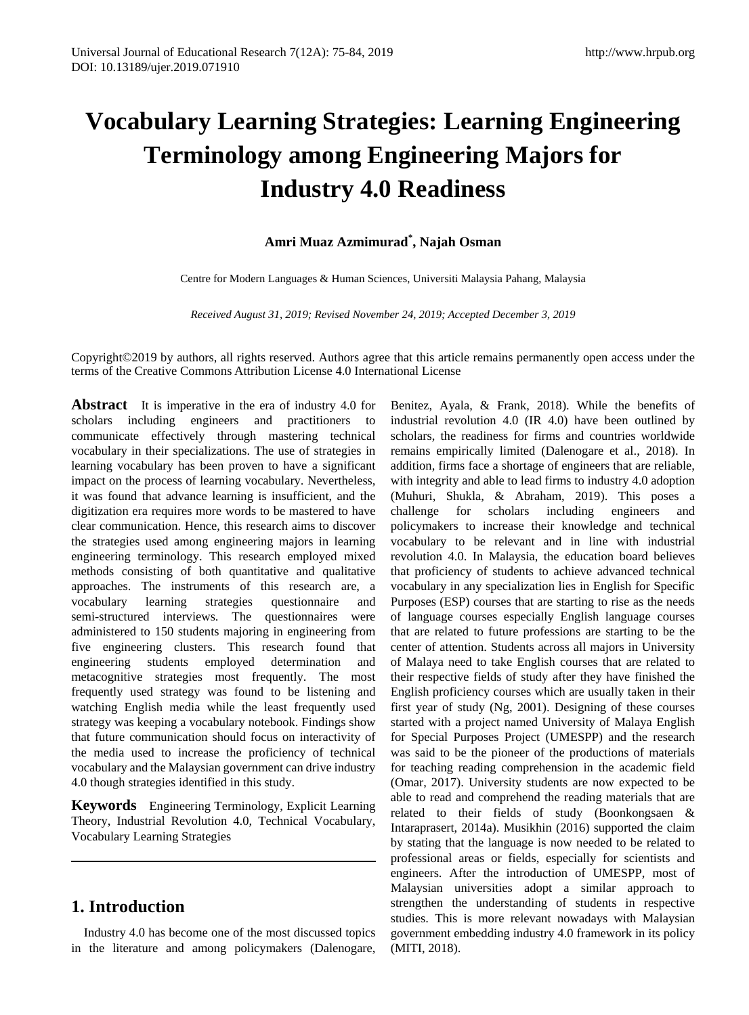# **Vocabulary Learning Strategies: Learning Engineering Terminology among Engineering Majors for Industry 4.0 Readiness**

# **Amri Muaz Azmimurad\* , Najah Osman**

Centre for Modern Languages & Human Sciences, Universiti Malaysia Pahang, Malaysia

*Received August 31, 2019; Revised November 24, 2019; Accepted December 3, 2019*

Copyright©2019 by authors, all rights reserved. Authors agree that this article remains permanently open access under the terms of the Creative Commons Attribution License 4.0 International License

**Abstract** It is imperative in the era of industry 4.0 for scholars including engineers and practitioners to communicate effectively through mastering technical vocabulary in their specializations. The use of strategies in learning vocabulary has been proven to have a significant impact on the process of learning vocabulary. Nevertheless, it was found that advance learning is insufficient, and the digitization era requires more words to be mastered to have clear communication. Hence, this research aims to discover the strategies used among engineering majors in learning engineering terminology. This research employed mixed methods consisting of both quantitative and qualitative approaches. The instruments of this research are, a vocabulary learning strategies questionnaire and semi-structured interviews. The questionnaires were administered to 150 students majoring in engineering from five engineering clusters. This research found that engineering students employed determination and metacognitive strategies most frequently. The most frequently used strategy was found to be listening and watching English media while the least frequently used strategy was keeping a vocabulary notebook. Findings show that future communication should focus on interactivity of the media used to increase the proficiency of technical vocabulary and the Malaysian government can drive industry 4.0 though strategies identified in this study.

**Keywords** Engineering Terminology, Explicit Learning Theory, Industrial Revolution 4.0, Technical Vocabulary, Vocabulary Learning Strategies

# **1. Introduction**

Industry 4.0 has become one of the most discussed topics in the literature and among policymakers (Dalenogare,

Benitez, Ayala, & Frank, 2018). While the benefits of industrial revolution 4.0 (IR 4.0) have been outlined by scholars, the readiness for firms and countries worldwide remains empirically limited (Dalenogare et al., 2018). In addition, firms face a shortage of engineers that are reliable, with integrity and able to lead firms to industry 4.0 adoption (Muhuri, Shukla, & Abraham, 2019). This poses a challenge for scholars including engineers and policymakers to increase their knowledge and technical vocabulary to be relevant and in line with industrial revolution 4.0. In Malaysia, the education board believes that proficiency of students to achieve advanced technical vocabulary in any specialization lies in English for Specific Purposes (ESP) courses that are starting to rise as the needs of language courses especially English language courses that are related to future professions are starting to be the center of attention. Students across all majors in University of Malaya need to take English courses that are related to their respective fields of study after they have finished the English proficiency courses which are usually taken in their first year of study (Ng, 2001). Designing of these courses started with a project named University of Malaya English for Special Purposes Project (UMESPP) and the research was said to be the pioneer of the productions of materials for teaching reading comprehension in the academic field (Omar, 2017). University students are now expected to be able to read and comprehend the reading materials that are related to their fields of study (Boonkongsaen & Intaraprasert, 2014a). Musikhin (2016) supported the claim by stating that the language is now needed to be related to professional areas or fields, especially for scientists and engineers. After the introduction of UMESPP, most of Malaysian universities adopt a similar approach to strengthen the understanding of students in respective studies. This is more relevant nowadays with Malaysian government embedding industry 4.0 framework in its policy (MITI, 2018).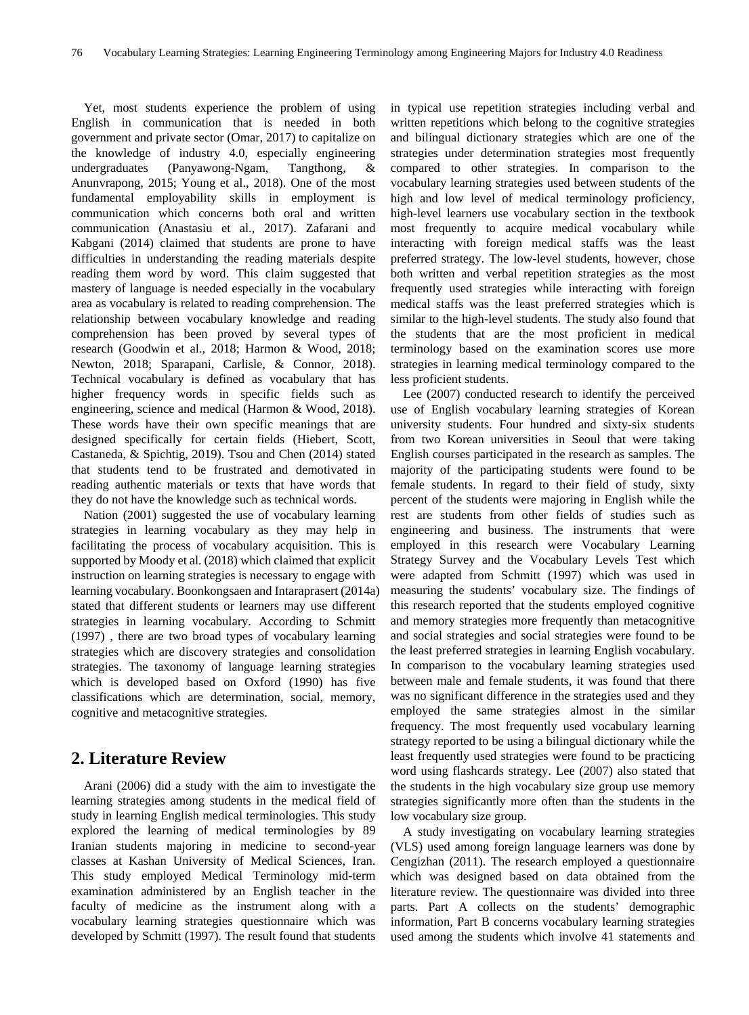Yet, most students experience the problem of using English in communication that is needed in both government and private sector (Omar, 2017) to capitalize on the knowledge of industry 4.0, especially engineering undergraduates (Panyawong-Ngam, Tangthong, & Anunvrapong, 2015; Young et al., 2018). One of the most fundamental employability skills in employment is communication which concerns both oral and written communication (Anastasiu et al., 2017). Zafarani and Kabgani (2014) claimed that students are prone to have difficulties in understanding the reading materials despite reading them word by word. This claim suggested that mastery of language is needed especially in the vocabulary area as vocabulary is related to reading comprehension. The relationship between vocabulary knowledge and reading comprehension has been proved by several types of research (Goodwin et al., 2018; Harmon & Wood, 2018; Newton, 2018; Sparapani, Carlisle, & Connor, 2018). Technical vocabulary is defined as vocabulary that has higher frequency words in specific fields such as engineering, science and medical (Harmon & Wood, 2018). These words have their own specific meanings that are designed specifically for certain fields (Hiebert, Scott, Castaneda, & Spichtig, 2019). Tsou and Chen (2014) stated that students tend to be frustrated and demotivated in reading authentic materials or texts that have words that they do not have the knowledge such as technical words.

Nation (2001) suggested the use of vocabulary learning strategies in learning vocabulary as they may help in facilitating the process of vocabulary acquisition. This is supported by Moody et al. (2018) which claimed that explicit instruction on learning strategies is necessary to engage with learning vocabulary. Boonkongsaen and Intaraprasert (2014a) stated that different students or learners may use different strategies in learning vocabulary. According to Schmitt (1997) , there are two broad types of vocabulary learning strategies which are discovery strategies and consolidation strategies. The taxonomy of language learning strategies which is developed based on Oxford (1990) has five classifications which are determination, social, memory, cognitive and metacognitive strategies.

## **2. Literature Review**

Arani (2006) did a study with the aim to investigate the learning strategies among students in the medical field of study in learning English medical terminologies. This study explored the learning of medical terminologies by 89 Iranian students majoring in medicine to second-year classes at Kashan University of Medical Sciences, Iran. This study employed Medical Terminology mid-term examination administered by an English teacher in the faculty of medicine as the instrument along with a vocabulary learning strategies questionnaire which was developed by Schmitt (1997). The result found that students in typical use repetition strategies including verbal and written repetitions which belong to the cognitive strategies and bilingual dictionary strategies which are one of the strategies under determination strategies most frequently compared to other strategies. In comparison to the vocabulary learning strategies used between students of the high and low level of medical terminology proficiency, high-level learners use vocabulary section in the textbook most frequently to acquire medical vocabulary while interacting with foreign medical staffs was the least preferred strategy. The low-level students, however, chose both written and verbal repetition strategies as the most frequently used strategies while interacting with foreign medical staffs was the least preferred strategies which is similar to the high-level students. The study also found that the students that are the most proficient in medical terminology based on the examination scores use more strategies in learning medical terminology compared to the less proficient students.

Lee (2007) conducted research to identify the perceived use of English vocabulary learning strategies of Korean university students. Four hundred and sixty-six students from two Korean universities in Seoul that were taking English courses participated in the research as samples. The majority of the participating students were found to be female students. In regard to their field of study, sixty percent of the students were majoring in English while the rest are students from other fields of studies such as engineering and business. The instruments that were employed in this research were Vocabulary Learning Strategy Survey and the Vocabulary Levels Test which were adapted from Schmitt (1997) which was used in measuring the students' vocabulary size. The findings of this research reported that the students employed cognitive and memory strategies more frequently than metacognitive and social strategies and social strategies were found to be the least preferred strategies in learning English vocabulary. In comparison to the vocabulary learning strategies used between male and female students, it was found that there was no significant difference in the strategies used and they employed the same strategies almost in the similar frequency. The most frequently used vocabulary learning strategy reported to be using a bilingual dictionary while the least frequently used strategies were found to be practicing word using flashcards strategy. Lee (2007) also stated that the students in the high vocabulary size group use memory strategies significantly more often than the students in the low vocabulary size group.

A study investigating on vocabulary learning strategies (VLS) used among foreign language learners was done by Cengizhan (2011). The research employed a questionnaire which was designed based on data obtained from the literature review. The questionnaire was divided into three parts. Part A collects on the students' demographic information, Part B concerns vocabulary learning strategies used among the students which involve 41 statements and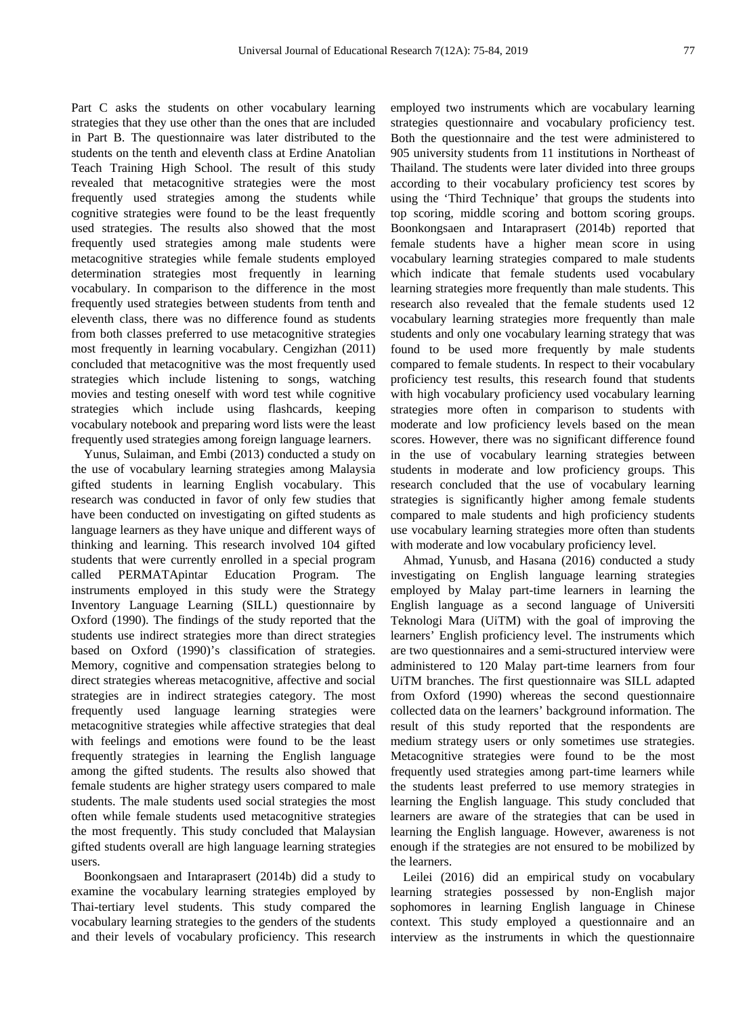Part C asks the students on other vocabulary learning strategies that they use other than the ones that are included in Part B. The questionnaire was later distributed to the students on the tenth and eleventh class at Erdine Anatolian Teach Training High School. The result of this study revealed that metacognitive strategies were the most frequently used strategies among the students while cognitive strategies were found to be the least frequently used strategies. The results also showed that the most frequently used strategies among male students were metacognitive strategies while female students employed determination strategies most frequently in learning vocabulary. In comparison to the difference in the most frequently used strategies between students from tenth and eleventh class, there was no difference found as students from both classes preferred to use metacognitive strategies most frequently in learning vocabulary. Cengizhan (2011) concluded that metacognitive was the most frequently used strategies which include listening to songs, watching movies and testing oneself with word test while cognitive strategies which include using flashcards, keeping vocabulary notebook and preparing word lists were the least frequently used strategies among foreign language learners.

Yunus, Sulaiman, and Embi (2013) conducted a study on the use of vocabulary learning strategies among Malaysia gifted students in learning English vocabulary. This research was conducted in favor of only few studies that have been conducted on investigating on gifted students as language learners as they have unique and different ways of thinking and learning. This research involved 104 gifted students that were currently enrolled in a special program called PERMATApintar Education Program. The instruments employed in this study were the Strategy Inventory Language Learning (SILL) questionnaire by Oxford (1990). The findings of the study reported that the students use indirect strategies more than direct strategies based on Oxford (1990)'s classification of strategies. Memory, cognitive and compensation strategies belong to direct strategies whereas metacognitive, affective and social strategies are in indirect strategies category. The most frequently used language learning strategies were metacognitive strategies while affective strategies that deal with feelings and emotions were found to be the least frequently strategies in learning the English language among the gifted students. The results also showed that female students are higher strategy users compared to male students. The male students used social strategies the most often while female students used metacognitive strategies the most frequently. This study concluded that Malaysian gifted students overall are high language learning strategies users.

Boonkongsaen and Intaraprasert (2014b) did a study to examine the vocabulary learning strategies employed by Thai-tertiary level students. This study compared the vocabulary learning strategies to the genders of the students and their levels of vocabulary proficiency. This research employed two instruments which are vocabulary learning strategies questionnaire and vocabulary proficiency test. Both the questionnaire and the test were administered to 905 university students from 11 institutions in Northeast of Thailand. The students were later divided into three groups according to their vocabulary proficiency test scores by using the 'Third Technique' that groups the students into top scoring, middle scoring and bottom scoring groups. Boonkongsaen and Intaraprasert (2014b) reported that female students have a higher mean score in using vocabulary learning strategies compared to male students which indicate that female students used vocabulary learning strategies more frequently than male students. This research also revealed that the female students used 12 vocabulary learning strategies more frequently than male students and only one vocabulary learning strategy that was found to be used more frequently by male students compared to female students. In respect to their vocabulary proficiency test results, this research found that students with high vocabulary proficiency used vocabulary learning strategies more often in comparison to students with moderate and low proficiency levels based on the mean scores. However, there was no significant difference found in the use of vocabulary learning strategies between students in moderate and low proficiency groups. This research concluded that the use of vocabulary learning strategies is significantly higher among female students compared to male students and high proficiency students use vocabulary learning strategies more often than students with moderate and low vocabulary proficiency level.

Ahmad, Yunusb, and Hasana (2016) conducted a study investigating on English language learning strategies employed by Malay part-time learners in learning the English language as a second language of Universiti Teknologi Mara (UiTM) with the goal of improving the learners' English proficiency level. The instruments which are two questionnaires and a semi-structured interview were administered to 120 Malay part-time learners from four UiTM branches. The first questionnaire was SILL adapted from Oxford (1990) whereas the second questionnaire collected data on the learners' background information. The result of this study reported that the respondents are medium strategy users or only sometimes use strategies. Metacognitive strategies were found to be the most frequently used strategies among part-time learners while the students least preferred to use memory strategies in learning the English language. This study concluded that learners are aware of the strategies that can be used in learning the English language. However, awareness is not enough if the strategies are not ensured to be mobilized by the learners.

Leilei (2016) did an empirical study on vocabulary learning strategies possessed by non-English major sophomores in learning English language in Chinese context. This study employed a questionnaire and an interview as the instruments in which the questionnaire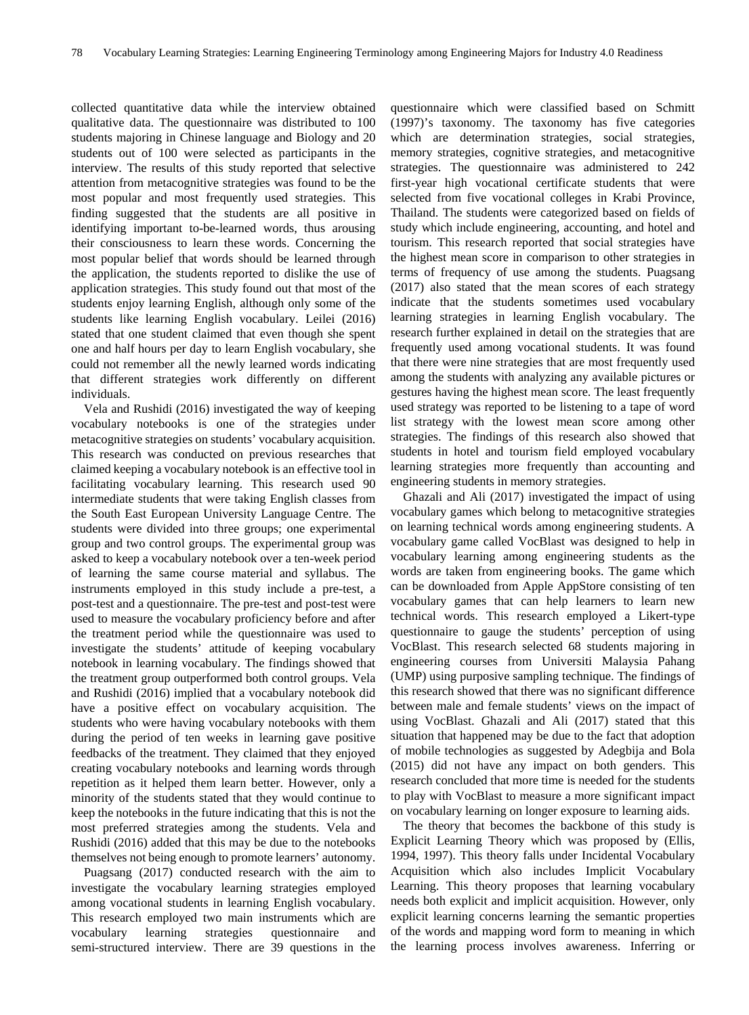collected quantitative data while the interview obtained qualitative data. The questionnaire was distributed to 100 students majoring in Chinese language and Biology and 20 students out of 100 were selected as participants in the interview. The results of this study reported that selective attention from metacognitive strategies was found to be the most popular and most frequently used strategies. This finding suggested that the students are all positive in identifying important to-be-learned words, thus arousing their consciousness to learn these words. Concerning the most popular belief that words should be learned through the application, the students reported to dislike the use of application strategies. This study found out that most of the students enjoy learning English, although only some of the students like learning English vocabulary. Leilei (2016) stated that one student claimed that even though she spent one and half hours per day to learn English vocabulary, she could not remember all the newly learned words indicating that different strategies work differently on different individuals.

Vela and Rushidi (2016) investigated the way of keeping vocabulary notebooks is one of the strategies under metacognitive strategies on students' vocabulary acquisition. This research was conducted on previous researches that claimed keeping a vocabulary notebook is an effective tool in facilitating vocabulary learning. This research used 90 intermediate students that were taking English classes from the South East European University Language Centre. The students were divided into three groups; one experimental group and two control groups. The experimental group was asked to keep a vocabulary notebook over a ten-week period of learning the same course material and syllabus. The instruments employed in this study include a pre-test, a post-test and a questionnaire. The pre-test and post-test were used to measure the vocabulary proficiency before and after the treatment period while the questionnaire was used to investigate the students' attitude of keeping vocabulary notebook in learning vocabulary. The findings showed that the treatment group outperformed both control groups. Vela and Rushidi (2016) implied that a vocabulary notebook did have a positive effect on vocabulary acquisition. The students who were having vocabulary notebooks with them during the period of ten weeks in learning gave positive feedbacks of the treatment. They claimed that they enjoyed creating vocabulary notebooks and learning words through repetition as it helped them learn better. However, only a minority of the students stated that they would continue to keep the notebooks in the future indicating that this is not the most preferred strategies among the students. Vela and Rushidi (2016) added that this may be due to the notebooks themselves not being enough to promote learners' autonomy.

Puagsang (2017) conducted research with the aim to investigate the vocabulary learning strategies employed among vocational students in learning English vocabulary. This research employed two main instruments which are vocabulary learning strategies questionnaire and semi-structured interview. There are 39 questions in the

questionnaire which were classified based on Schmitt (1997)'s taxonomy. The taxonomy has five categories which are determination strategies, social strategies, memory strategies, cognitive strategies, and metacognitive strategies. The questionnaire was administered to 242 first-year high vocational certificate students that were selected from five vocational colleges in Krabi Province, Thailand. The students were categorized based on fields of study which include engineering, accounting, and hotel and tourism. This research reported that social strategies have the highest mean score in comparison to other strategies in terms of frequency of use among the students. Puagsang (2017) also stated that the mean scores of each strategy indicate that the students sometimes used vocabulary learning strategies in learning English vocabulary. The research further explained in detail on the strategies that are frequently used among vocational students. It was found that there were nine strategies that are most frequently used among the students with analyzing any available pictures or gestures having the highest mean score. The least frequently used strategy was reported to be listening to a tape of word list strategy with the lowest mean score among other strategies. The findings of this research also showed that students in hotel and tourism field employed vocabulary learning strategies more frequently than accounting and engineering students in memory strategies.

Ghazali and Ali (2017) investigated the impact of using vocabulary games which belong to metacognitive strategies on learning technical words among engineering students. A vocabulary game called VocBlast was designed to help in vocabulary learning among engineering students as the words are taken from engineering books. The game which can be downloaded from Apple AppStore consisting of ten vocabulary games that can help learners to learn new technical words. This research employed a Likert-type questionnaire to gauge the students' perception of using VocBlast. This research selected 68 students majoring in engineering courses from Universiti Malaysia Pahang (UMP) using purposive sampling technique. The findings of this research showed that there was no significant difference between male and female students' views on the impact of using VocBlast. Ghazali and Ali (2017) stated that this situation that happened may be due to the fact that adoption of mobile technologies as suggested by Adegbija and Bola (2015) did not have any impact on both genders. This research concluded that more time is needed for the students to play with VocBlast to measure a more significant impact on vocabulary learning on longer exposure to learning aids.

The theory that becomes the backbone of this study is Explicit Learning Theory which was proposed by (Ellis, 1994, 1997). This theory falls under Incidental Vocabulary Acquisition which also includes Implicit Vocabulary Learning. This theory proposes that learning vocabulary needs both explicit and implicit acquisition. However, only explicit learning concerns learning the semantic properties of the words and mapping word form to meaning in which the learning process involves awareness. Inferring or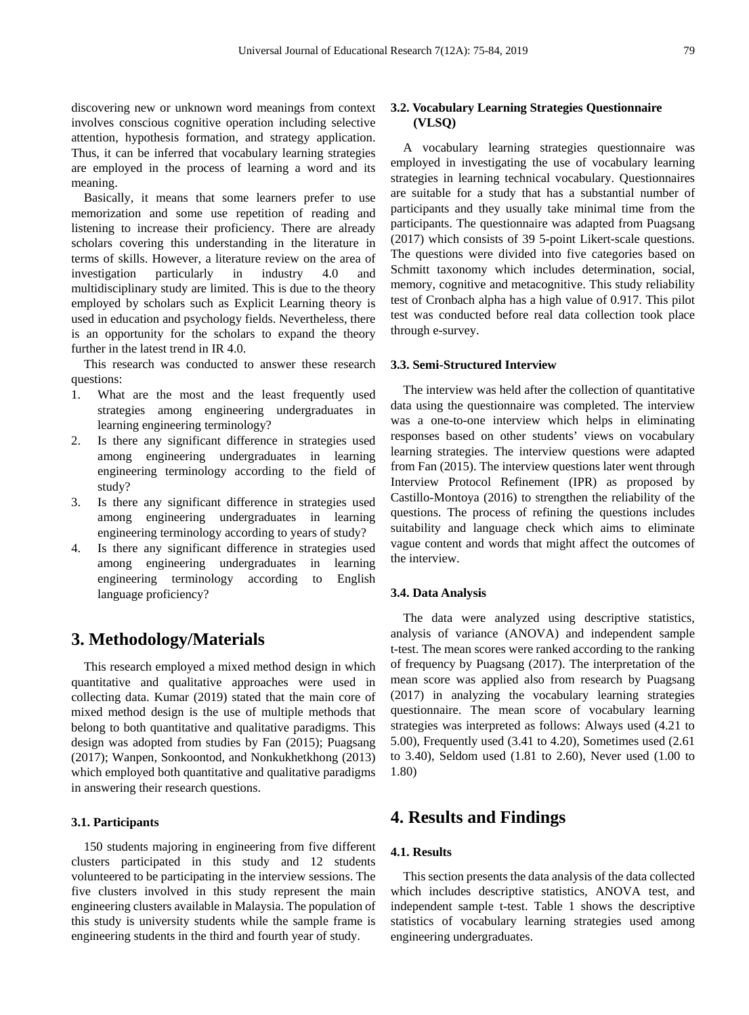discovering new or unknown word meanings from context involves conscious cognitive operation including selective attention, hypothesis formation, and strategy application. Thus, it can be inferred that vocabulary learning strategies are employed in the process of learning a word and its meaning.

Basically, it means that some learners prefer to use memorization and some use repetition of reading and listening to increase their proficiency. There are already scholars covering this understanding in the literature in terms of skills. However, a literature review on the area of investigation particularly in industry 4.0 and multidisciplinary study are limited. This is due to the theory employed by scholars such as Explicit Learning theory is used in education and psychology fields. Nevertheless, there is an opportunity for the scholars to expand the theory further in the latest trend in IR 4.0.

This research was conducted to answer these research questions:

- 1. What are the most and the least frequently used strategies among engineering undergraduates in learning engineering terminology?
- 2. Is there any significant difference in strategies used among engineering undergraduates in learning engineering terminology according to the field of study?
- 3. Is there any significant difference in strategies used among engineering undergraduates in learning engineering terminology according to years of study?
- 4. Is there any significant difference in strategies used among engineering undergraduates in learning engineering terminology according to English language proficiency?

# **3. Methodology/Materials**

This research employed a mixed method design in which quantitative and qualitative approaches were used in collecting data. Kumar (2019) stated that the main core of mixed method design is the use of multiple methods that belong to both quantitative and qualitative paradigms. This design was adopted from studies by Fan (2015); Puagsang (2017); Wanpen, Sonkoontod, and Nonkukhetkhong (2013) which employed both quantitative and qualitative paradigms in answering their research questions.

## **3.1. Participants**

150 students majoring in engineering from five different clusters participated in this study and 12 students volunteered to be participating in the interview sessions. The five clusters involved in this study represent the main engineering clusters available in Malaysia. The population of this study is university students while the sample frame is engineering students in the third and fourth year of study.

## **3.2. Vocabulary Learning Strategies Questionnaire (VLSQ)**

A vocabulary learning strategies questionnaire was employed in investigating the use of vocabulary learning strategies in learning technical vocabulary. Questionnaires are suitable for a study that has a substantial number of participants and they usually take minimal time from the participants. The questionnaire was adapted from Puagsang (2017) which consists of 39 5-point Likert-scale questions. The questions were divided into five categories based on Schmitt taxonomy which includes determination, social, memory, cognitive and metacognitive. This study reliability test of Cronbach alpha has a high value of 0.917. This pilot test was conducted before real data collection took place through e-survey.

#### **3.3. Semi-Structured Interview**

The interview was held after the collection of quantitative data using the questionnaire was completed. The interview was a one-to-one interview which helps in eliminating responses based on other students' views on vocabulary learning strategies. The interview questions were adapted from Fan (2015). The interview questions later went through Interview Protocol Refinement (IPR) as proposed by Castillo-Montoya (2016) to strengthen the reliability of the questions. The process of refining the questions includes suitability and language check which aims to eliminate vague content and words that might affect the outcomes of the interview.

## **3.4. Data Analysis**

The data were analyzed using descriptive statistics, analysis of variance (ANOVA) and independent sample t-test. The mean scores were ranked according to the ranking of frequency by Puagsang (2017). The interpretation of the mean score was applied also from research by Puagsang (2017) in analyzing the vocabulary learning strategies questionnaire. The mean score of vocabulary learning strategies was interpreted as follows: Always used (4.21 to 5.00), Frequently used (3.41 to 4.20), Sometimes used (2.61 to 3.40), Seldom used (1.81 to 2.60), Never used (1.00 to 1.80)

## **4. Results and Findings**

### **4.1. Results**

This section presents the data analysis of the data collected which includes descriptive statistics, ANOVA test, and independent sample t-test. Table 1 shows the descriptive statistics of vocabulary learning strategies used among engineering undergraduates.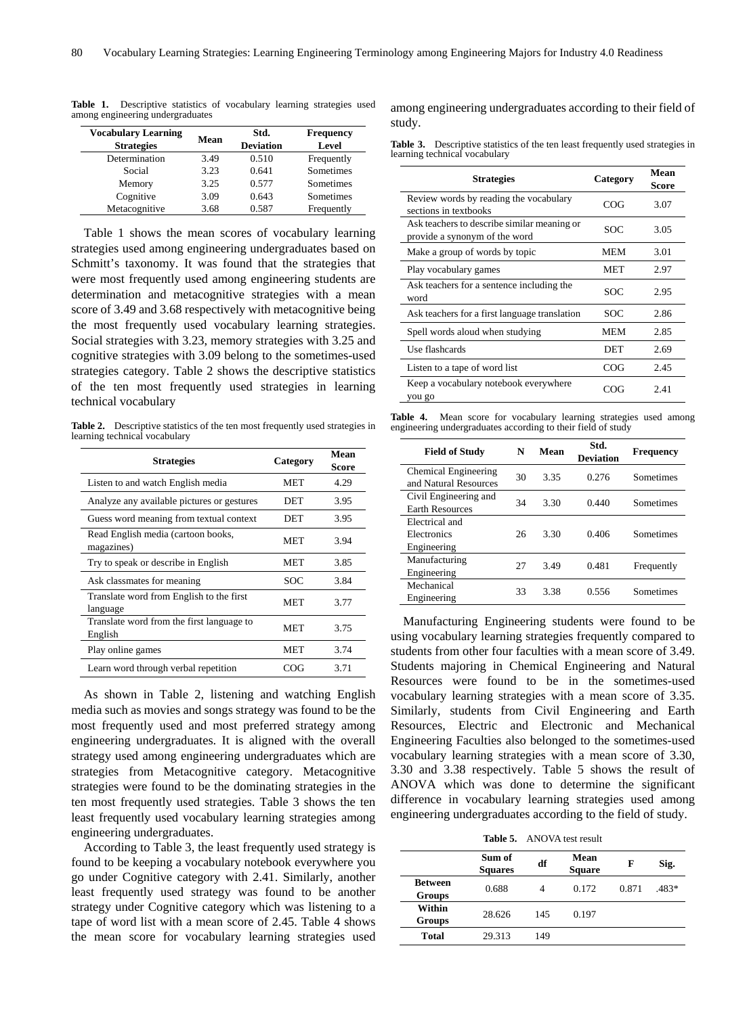| <b>Vocabulary Learning</b><br><b>Strategies</b> | Mean | Std.<br><b>Deviation</b> | <b>Frequency</b><br>Level |
|-------------------------------------------------|------|--------------------------|---------------------------|
| Determination                                   | 3.49 | 0.510                    | Frequently                |
| Social                                          | 3.23 | 0.641                    | Sometimes                 |
| Memory                                          | 3.25 | 0.577                    | Sometimes                 |
| Cognitive                                       | 3.09 | 0.643                    | Sometimes                 |
| Metacognitive                                   | 3.68 | 0.587                    | Frequently                |

**Table 1.** Descriptive statistics of vocabulary learning strategies used among engineering undergraduates

Table 1 shows the mean scores of vocabulary learning strategies used among engineering undergraduates based on Schmitt's taxonomy. It was found that the strategies that were most frequently used among engineering students are determination and metacognitive strategies with a mean score of 3.49 and 3.68 respectively with metacognitive being the most frequently used vocabulary learning strategies. Social strategies with 3.23, memory strategies with 3.25 and cognitive strategies with 3.09 belong to the sometimes-used strategies category. Table 2 shows the descriptive statistics of the ten most frequently used strategies in learning technical vocabulary

**Table 2.** Descriptive statistics of the ten most frequently used strategies in learning technical vocabulary

| <b>Strategies</b>                                    | Category   | Mean<br>Score |
|------------------------------------------------------|------------|---------------|
| Listen to and watch English media                    | MET        | 4.29          |
| Analyze any available pictures or gestures           | DET        | 3.95          |
| Guess word meaning from textual context              | DET        | 3.95          |
| Read English media (cartoon books,<br>magazines)     | MET        | 3.94          |
| Try to speak or describe in English                  | MET        | 3.85          |
| Ask classmates for meaning                           | <b>SOC</b> | 3.84          |
| Translate word from English to the first<br>language | <b>MET</b> | 3.77          |
| Translate word from the first language to<br>English | MET        | 3.75          |
| Play online games                                    | <b>MET</b> | 3.74          |
| Learn word through verbal repetition                 | COG        | 3.71          |

As shown in Table 2, listening and watching English media such as movies and songs strategy was found to be the most frequently used and most preferred strategy among engineering undergraduates. It is aligned with the overall strategy used among engineering undergraduates which are strategies from Metacognitive category. Metacognitive strategies were found to be the dominating strategies in the ten most frequently used strategies. Table 3 shows the ten least frequently used vocabulary learning strategies among engineering undergraduates.

According to Table 3, the least frequently used strategy is found to be keeping a vocabulary notebook everywhere you go under Cognitive category with 2.41. Similarly, another least frequently used strategy was found to be another strategy under Cognitive category which was listening to a tape of word list with a mean score of 2.45. Table 4 shows the mean score for vocabulary learning strategies used

among engineering undergraduates according to their field of study.

| Table 3. Descriptive statistics of the ten least frequently used strategies in |  |  |
|--------------------------------------------------------------------------------|--|--|
| learning technical vocabulary                                                  |  |  |

| <b>Strategies</b>                                                            | Category   | Mean<br>Score |
|------------------------------------------------------------------------------|------------|---------------|
| Review words by reading the vocabulary<br>sections in textbooks              | COG        | 3.07          |
| Ask teachers to describe similar meaning or<br>provide a synonym of the word | SOC        | 3.05          |
| Make a group of words by topic                                               | <b>MEM</b> | 3.01          |
| Play vocabulary games                                                        | MET        | 2.97          |
| Ask teachers for a sentence including the<br>word                            | SOC        | 2.95          |
| Ask teachers for a first language translation                                | SOC        | 2.86          |
| Spell words aloud when studying                                              | MEM        | 2.85          |
| Use flashcards                                                               | DET        | 2.69          |
| Listen to a tape of word list                                                | COG        | 2.45          |
| Keep a vocabulary notebook everywhere<br>you go                              | COG        | 2.41          |

**Table 4.** Mean score for vocabulary learning strategies used among engineering undergraduates according to their field of study

| <b>Field of Study</b>                           | N  | Mean | Std.<br><b>Deviation</b> | <b>Frequency</b> |
|-------------------------------------------------|----|------|--------------------------|------------------|
| Chemical Engineering<br>and Natural Resources   | 30 | 3.35 | 0.276                    | Sometimes        |
| Civil Engineering and<br><b>Earth Resources</b> | 34 | 3.30 | 0.440                    | Sometimes        |
| Electrical and<br>Electronics<br>Engineering    | 26 | 3.30 | 0.406                    | Sometimes        |
| Manufacturing<br>Engineering                    | 27 | 3.49 | 0.481                    | Frequently       |
| Mechanical<br>Engineering                       | 33 | 3.38 | 0.556                    | Sometimes        |

Manufacturing Engineering students were found to be using vocabulary learning strategies frequently compared to students from other four faculties with a mean score of 3.49. Students majoring in Chemical Engineering and Natural Resources were found to be in the sometimes-used vocabulary learning strategies with a mean score of 3.35. Similarly, students from Civil Engineering and Earth Resources, Electric and Electronic and Mechanical Engineering Faculties also belonged to the sometimes-used vocabulary learning strategies with a mean score of 3.30, 3.30 and 3.38 respectively. Table 5 shows the result of ANOVA which was done to determine the significant difference in vocabulary learning strategies used among engineering undergraduates according to the field of study.

**Table 5.** ANOVA test result

|                                 | Sum of<br><b>Squares</b> | df        | Mean<br><b>Square</b> | F     | Sig.  |
|---------------------------------|--------------------------|-----------|-----------------------|-------|-------|
| <b>Between</b><br><b>Groups</b> | 0.688                    | $\Lambda$ | 0.172                 | 0.871 | .483* |
| Within<br><b>Groups</b>         | 28.626                   | 145       | 0.197                 |       |       |
| <b>Total</b>                    | 29.313                   | 149       |                       |       |       |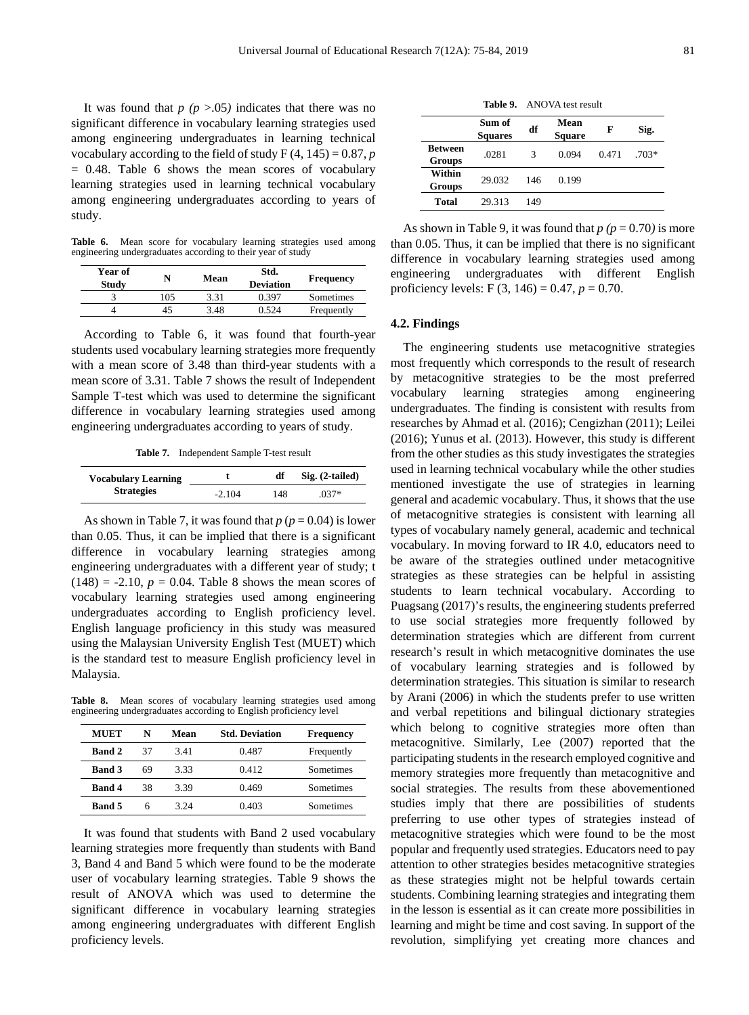It was found that  $p$  ( $p > .05$ ) indicates that there was no significant difference in vocabulary learning strategies used among engineering undergraduates in learning technical vocabulary according to the field of study  $F(4, 145) = 0.87, p$  $= 0.48$ . Table 6 shows the mean scores of vocabulary learning strategies used in learning technical vocabulary among engineering undergraduates according to years of study.

**Table 6.** Mean score for vocabulary learning strategies used among engineering undergraduates according to their year of study

| Year of<br><b>Study</b> |     | Mean | Std.<br><b>Deviation</b> | Frequency  |
|-------------------------|-----|------|--------------------------|------------|
|                         | 105 | 3.31 | 0.397                    | Sometimes  |
|                         | 45  | 3.48 | 0.524                    | Frequently |

According to Table 6, it was found that fourth-year students used vocabulary learning strategies more frequently with a mean score of 3.48 than third-year students with a mean score of 3.31. Table 7 shows the result of Independent Sample T-test which was used to determine the significant difference in vocabulary learning strategies used among engineering undergraduates according to years of study.

**Table 7.** Independent Sample T-test result

| <b>Vocabulary Learning</b> | df       |     | $Sig. (2-tailed)$ |
|----------------------------|----------|-----|-------------------|
| <b>Strategies</b>          | $-2.104$ | 148 | $.037*$           |

As shown in Table 7, it was found that  $p (p = 0.04)$  is lower than 0.05. Thus, it can be implied that there is a significant difference in vocabulary learning strategies among engineering undergraduates with a different year of study; t  $(148) = -2.10, p = 0.04$ . Table 8 shows the mean scores of vocabulary learning strategies used among engineering undergraduates according to English proficiency level. English language proficiency in this study was measured using the Malaysian University English Test (MUET) which is the standard test to measure English proficiency level in Malaysia.

**Table 8.** Mean scores of vocabulary learning strategies used among engineering undergraduates according to English proficiency level

| <b>MUET</b>   | N  | Mean | <b>Std. Deviation</b> | <b>Frequency</b> |
|---------------|----|------|-----------------------|------------------|
| <b>Band 2</b> | 37 | 3.41 | 0.487                 | Frequently       |
| <b>Band 3</b> | 69 | 3.33 | 0.412                 | Sometimes        |
| <b>Band 4</b> | 38 | 3.39 | 0.469                 | Sometimes        |
| <b>Band 5</b> | h  | 3 94 | 0.403                 | Sometimes        |

It was found that students with Band 2 used vocabulary learning strategies more frequently than students with Band 3, Band 4 and Band 5 which were found to be the moderate user of vocabulary learning strategies. Table 9 shows the result of ANOVA which was used to determine the significant difference in vocabulary learning strategies among engineering undergraduates with different English proficiency levels.

**Table 9.** ANOVA test result

|                                 | Sum of<br><b>Squares</b> | df  | Mean<br><b>Square</b> | F     | Sig.    |
|---------------------------------|--------------------------|-----|-----------------------|-------|---------|
| <b>Between</b><br><b>Groups</b> | .0281                    | 3   | 0.094                 | 0.471 | $.703*$ |
| Within<br><b>Groups</b>         | 29.032                   | 146 | 0.199                 |       |         |
| Total                           | 29.313                   | 149 |                       |       |         |

As shown in Table 9, it was found that  $p (p = 0.70)$  is more than 0.05. Thus, it can be implied that there is no significant difference in vocabulary learning strategies used among engineering undergraduates with different English proficiency levels: F  $(3, 146) = 0.47$ ,  $p = 0.70$ .

#### **4.2. Findings**

The engineering students use metacognitive strategies most frequently which corresponds to the result of research by metacognitive strategies to be the most preferred vocabulary learning strategies among engineering undergraduates. The finding is consistent with results from researches by Ahmad et al. (2016); Cengizhan (2011); Leilei (2016); Yunus et al. (2013). However, this study is different from the other studies as this study investigates the strategies used in learning technical vocabulary while the other studies mentioned investigate the use of strategies in learning general and academic vocabulary. Thus, it shows that the use of metacognitive strategies is consistent with learning all types of vocabulary namely general, academic and technical vocabulary. In moving forward to IR 4.0, educators need to be aware of the strategies outlined under metacognitive strategies as these strategies can be helpful in assisting students to learn technical vocabulary. According to Puagsang (2017)'s results, the engineering students preferred to use social strategies more frequently followed by determination strategies which are different from current research's result in which metacognitive dominates the use of vocabulary learning strategies and is followed by determination strategies. This situation is similar to research by Arani (2006) in which the students prefer to use written and verbal repetitions and bilingual dictionary strategies which belong to cognitive strategies more often than metacognitive. Similarly, Lee (2007) reported that the participating students in the research employed cognitive and memory strategies more frequently than metacognitive and social strategies. The results from these abovementioned studies imply that there are possibilities of students preferring to use other types of strategies instead of metacognitive strategies which were found to be the most popular and frequently used strategies. Educators need to pay attention to other strategies besides metacognitive strategies as these strategies might not be helpful towards certain students. Combining learning strategies and integrating them in the lesson is essential as it can create more possibilities in learning and might be time and cost saving. In support of the revolution, simplifying yet creating more chances and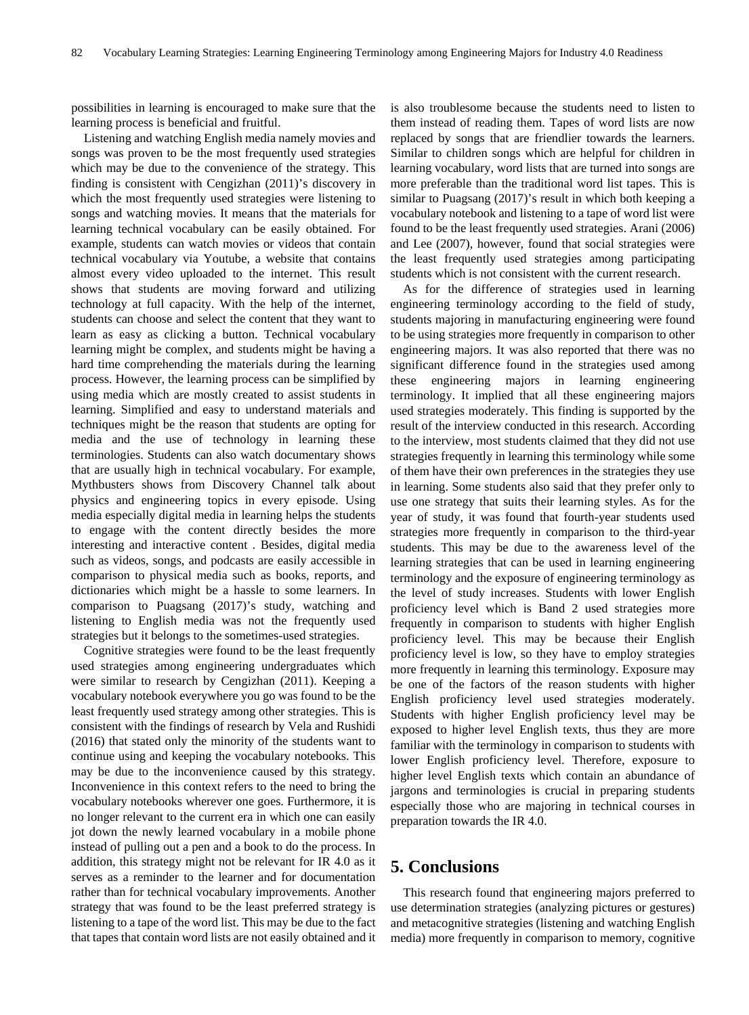possibilities in learning is encouraged to make sure that the learning process is beneficial and fruitful.

Listening and watching English media namely movies and songs was proven to be the most frequently used strategies which may be due to the convenience of the strategy. This finding is consistent with Cengizhan (2011)'s discovery in which the most frequently used strategies were listening to songs and watching movies. It means that the materials for learning technical vocabulary can be easily obtained. For example, students can watch movies or videos that contain technical vocabulary via Youtube, a website that contains almost every video uploaded to the internet. This result shows that students are moving forward and utilizing technology at full capacity. With the help of the internet, students can choose and select the content that they want to learn as easy as clicking a button. Technical vocabulary learning might be complex, and students might be having a hard time comprehending the materials during the learning process. However, the learning process can be simplified by using media which are mostly created to assist students in learning. Simplified and easy to understand materials and techniques might be the reason that students are opting for media and the use of technology in learning these terminologies. Students can also watch documentary shows that are usually high in technical vocabulary. For example, Mythbusters shows from Discovery Channel talk about physics and engineering topics in every episode. Using media especially digital media in learning helps the students to engage with the content directly besides the more interesting and interactive content . Besides, digital media such as videos, songs, and podcasts are easily accessible in comparison to physical media such as books, reports, and dictionaries which might be a hassle to some learners. In comparison to Puagsang (2017)'s study, watching and listening to English media was not the frequently used strategies but it belongs to the sometimes-used strategies.

Cognitive strategies were found to be the least frequently used strategies among engineering undergraduates which were similar to research by Cengizhan (2011). Keeping a vocabulary notebook everywhere you go was found to be the least frequently used strategy among other strategies. This is consistent with the findings of research by Vela and Rushidi (2016) that stated only the minority of the students want to continue using and keeping the vocabulary notebooks. This may be due to the inconvenience caused by this strategy. Inconvenience in this context refers to the need to bring the vocabulary notebooks wherever one goes. Furthermore, it is no longer relevant to the current era in which one can easily jot down the newly learned vocabulary in a mobile phone instead of pulling out a pen and a book to do the process. In addition, this strategy might not be relevant for IR 4.0 as it serves as a reminder to the learner and for documentation rather than for technical vocabulary improvements. Another strategy that was found to be the least preferred strategy is listening to a tape of the word list. This may be due to the fact that tapes that contain word lists are not easily obtained and it is also troublesome because the students need to listen to them instead of reading them. Tapes of word lists are now replaced by songs that are friendlier towards the learners. Similar to children songs which are helpful for children in learning vocabulary, word lists that are turned into songs are more preferable than the traditional word list tapes. This is similar to Puagsang (2017)'s result in which both keeping a vocabulary notebook and listening to a tape of word list were found to be the least frequently used strategies. Arani (2006) and Lee (2007), however, found that social strategies were the least frequently used strategies among participating students which is not consistent with the current research.

As for the difference of strategies used in learning engineering terminology according to the field of study, students majoring in manufacturing engineering were found to be using strategies more frequently in comparison to other engineering majors. It was also reported that there was no significant difference found in the strategies used among these engineering majors in learning engineering terminology. It implied that all these engineering majors used strategies moderately. This finding is supported by the result of the interview conducted in this research. According to the interview, most students claimed that they did not use strategies frequently in learning this terminology while some of them have their own preferences in the strategies they use in learning. Some students also said that they prefer only to use one strategy that suits their learning styles. As for the year of study, it was found that fourth-year students used strategies more frequently in comparison to the third-year students. This may be due to the awareness level of the learning strategies that can be used in learning engineering terminology and the exposure of engineering terminology as the level of study increases. Students with lower English proficiency level which is Band 2 used strategies more frequently in comparison to students with higher English proficiency level. This may be because their English proficiency level is low, so they have to employ strategies more frequently in learning this terminology. Exposure may be one of the factors of the reason students with higher English proficiency level used strategies moderately. Students with higher English proficiency level may be exposed to higher level English texts, thus they are more familiar with the terminology in comparison to students with lower English proficiency level. Therefore, exposure to higher level English texts which contain an abundance of jargons and terminologies is crucial in preparing students especially those who are majoring in technical courses in preparation towards the IR 4.0.

# **5. Conclusions**

This research found that engineering majors preferred to use determination strategies (analyzing pictures or gestures) and metacognitive strategies (listening and watching English media) more frequently in comparison to memory, cognitive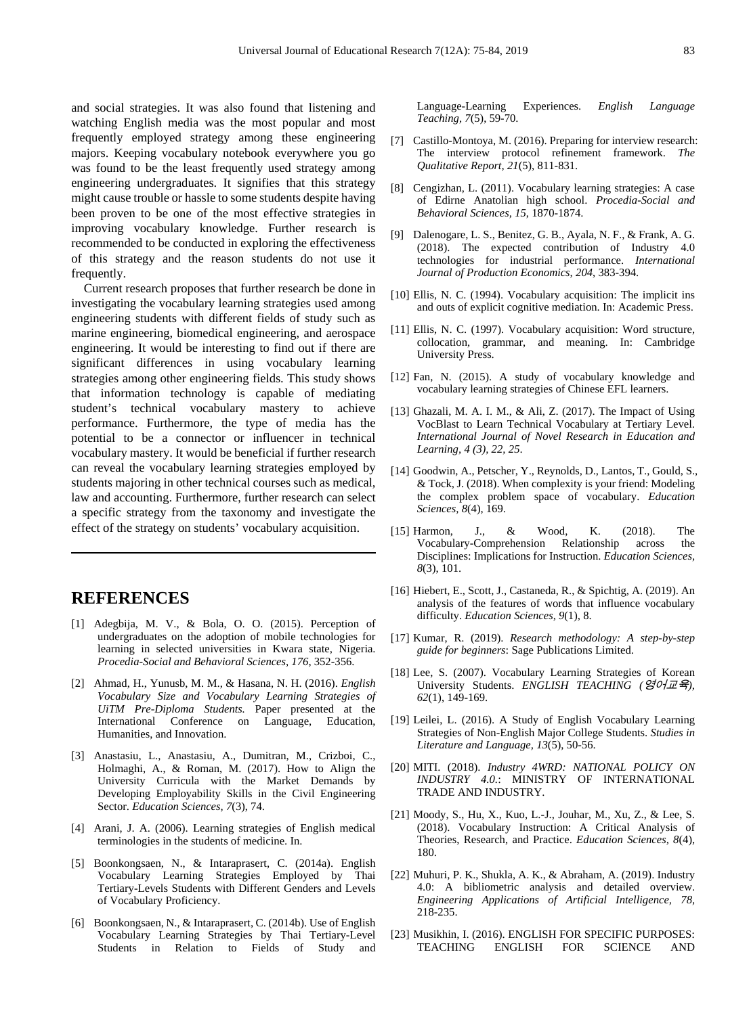and social strategies. It was also found that listening and watching English media was the most popular and most frequently employed strategy among these engineering majors. Keeping vocabulary notebook everywhere you go was found to be the least frequently used strategy among engineering undergraduates. It signifies that this strategy might cause trouble or hassle to some students despite having been proven to be one of the most effective strategies in improving vocabulary knowledge. Further research is recommended to be conducted in exploring the effectiveness of this strategy and the reason students do not use it frequently.

Current research proposes that further research be done in investigating the vocabulary learning strategies used among engineering students with different fields of study such as marine engineering, biomedical engineering, and aerospace engineering. It would be interesting to find out if there are significant differences in using vocabulary learning strategies among other engineering fields. This study shows that information technology is capable of mediating student's technical vocabulary mastery to achieve performance. Furthermore, the type of media has the potential to be a connector or influencer in technical vocabulary mastery. It would be beneficial if further research can reveal the vocabulary learning strategies employed by students majoring in other technical courses such as medical, law and accounting. Furthermore, further research can select a specific strategy from the taxonomy and investigate the effect of the strategy on students' vocabulary acquisition.

## **REFERENCES**

- [1] Adegbija, M. V., & Bola, O. O. (2015). Perception of undergraduates on the adoption of mobile technologies for learning in selected universities in Kwara state, Nigeria. *Procedia-Social and Behavioral Sciences, 176*, 352-356.
- [2] Ahmad, H., Yunusb, M. M., & Hasana, N. H. (2016). *English Vocabulary Size and Vocabulary Learning Strategies of UiTM Pre-Diploma Students.* Paper presented at the International Conference on Language, Education, Humanities, and Innovation.
- [3] Anastasiu, L., Anastasiu, A., Dumitran, M., Crizboi, C., Holmaghi, A., & Roman, M. (2017). How to Align the University Curricula with the Market Demands by Developing Employability Skills in the Civil Engineering Sector. *Education Sciences, 7*(3), 74.
- [4] Arani, J. A. (2006). Learning strategies of English medical terminologies in the students of medicine. In.
- [5] Boonkongsaen, N., & Intaraprasert, C. (2014a). English Vocabulary Learning Strategies Employed by Thai Tertiary-Levels Students with Different Genders and Levels of Vocabulary Proficiency.
- [6] Boonkongsaen, N., & Intaraprasert, C. (2014b). Use of English Vocabulary Learning Strategies by Thai Tertiary-Level Students in Relation to Fields of Study and

Language-Learning Experiences. *English Language Teaching, 7*(5), 59-70.

- [7] Castillo-Montoya, M. (2016). Preparing for interview research: The interview protocol refinement framework. *The Qualitative Report, 21*(5), 811-831.
- [8] Cengizhan, L. (2011). Vocabulary learning strategies: A case of Edirne Anatolian high school. *Procedia-Social and Behavioral Sciences, 15*, 1870-1874.
- [9] Dalenogare, L. S., Benitez, G. B., Ayala, N. F., & Frank, A. G. (2018). The expected contribution of Industry 4.0 technologies for industrial performance. *International Journal of Production Economics, 204*, 383-394.
- [10] Ellis, N. C. (1994). Vocabulary acquisition: The implicit ins and outs of explicit cognitive mediation. In: Academic Press.
- [11] Ellis, N. C. (1997). Vocabulary acquisition: Word structure, collocation, grammar, and meaning. In: Cambridge University Press.
- [12] Fan, N. (2015). A study of vocabulary knowledge and vocabulary learning strategies of Chinese EFL learners.
- [13] Ghazali, M. A. I. M., & Ali, Z. (2017). The Impact of Using VocBlast to Learn Technical Vocabulary at Tertiary Level. *International Journal of Novel Research in Education and Learning, 4 (3), 22, 25*.
- [14] Goodwin, A., Petscher, Y., Reynolds, D., Lantos, T., Gould, S., & Tock, J. (2018). When complexity is your friend: Modeling the complex problem space of vocabulary. *Education Sciences, 8*(4), 169.
- [15] Harmon, J., & Wood, K. (2018). The Vocabulary-Comprehension Relationship across the Disciplines: Implications for Instruction. *Education Sciences, 8*(3), 101.
- [16] Hiebert, E., Scott, J., Castaneda, R., & Spichtig, A. (2019). An analysis of the features of words that influence vocabulary difficulty. *Education Sciences, 9*(1), 8.
- [17] Kumar, R. (2019). *Research methodology: A step-by-step guide for beginners*: Sage Publications Limited.
- [18] Lee, S. (2007). Vocabulary Learning Strategies of Korean University Students. *ENGLISH TEACHING (*영어교육*), 62*(1), 149-169.
- [19] Leilei, L. (2016). A Study of English Vocabulary Learning Strategies of Non-English Major College Students. *Studies in Literature and Language, 13*(5), 50-56.
- [20] MITI. (2018). *Industry 4WRD: NATIONAL POLICY ON INDUSTRY 4.0.*: MINISTRY OF INTERNATIONAL TRADE AND INDUSTRY.
- [21] Moody, S., Hu, X., Kuo, L.-J., Jouhar, M., Xu, Z., & Lee, S. (2018). Vocabulary Instruction: A Critical Analysis of Theories, Research, and Practice. *Education Sciences, 8*(4), 180.
- [22] Muhuri, P. K., Shukla, A. K., & Abraham, A. (2019). Industry 4.0: A bibliometric analysis and detailed overview. *Engineering Applications of Artificial Intelligence, 78*, 218-235.
- [23] Musikhin, I. (2016). ENGLISH FOR SPECIFIC PURPOSES: TEACHING ENGLISH FOR SCIENCE AND